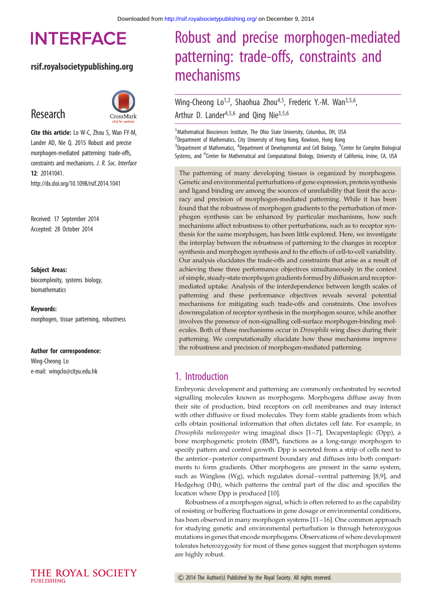# **INTERFACE**

# rsif.royalsocietypublishing.org

# Research



Cite this article: Lo W-C, Zhou S, Wan FY-M, Lander AD, Nie Q. 2015 Robust and precise morphogen-mediated patterning: trade-offs, constraints and mechanisms. J. R. Soc. Interface 12: 20141041. http://dx.doi.org/10.1098/rsif.2014.1041

Received: 17 September 2014 Accepted: 28 October 2014

#### Subject Areas:

biocomplexity, systems biology, biomathematics

Keywords: morphogen, tissue patterning, robustness

#### Author for correspondence:

Wing-Cheong Lo e-mail: [wingclo@cityu.edu.hk](mailto:wingclo@cityu.edu.hk)

# Robust and precise morphogen-mediated patterning: trade-offs, constraints and mechanisms

# Wing-Cheong Lo<sup>1,2</sup>, Shaohua Zhou<sup>4,5</sup>, Frederic Y.-M. Wan<sup>3,5,6</sup>, Arthur D. Lander<sup>4,5,6</sup> and Qing Nie<sup>3,5,6</sup>

<sup>1</sup>Mathematical Biosciences Institute, The Ohio State University, Columbus, OH, USA <sup>2</sup>Department of Mathematics, City University of Hong Kong, Kowloon, Hong Kong <sup>3</sup>Department of Mathematics, <sup>4</sup>Department of Developmental and Cell Biology, <sup>5</sup>Center for Complex Biological Systems, and <sup>6</sup>Center for Mathematical and Computational Biology, University of California, Irvine, CA, USA

The patterning of many developing tissues is organized by morphogens. Genetic and environmental perturbations of gene expression, protein synthesis and ligand binding are among the sources of unreliability that limit the accuracy and precision of morphogen-mediated patterning. While it has been found that the robustness of morphogen gradients to the perturbation of morphogen synthesis can be enhanced by particular mechanisms, how such mechanisms affect robustness to other perturbations, such as to receptor synthesis for the same morphogen, has been little explored. Here, we investigate the interplay between the robustness of patterning to the changes in receptor synthesis and morphogen synthesis and to the effects of cell-to-cell variability. Our analysis elucidates the trade-offs and constraints that arise as a result of achieving these three performance objectives simultaneously in the context of simple, steady-state morphogen gradients formed by diffusion and receptormediated uptake. Analysis of the interdependence between length scales of patterning and these performance objectives reveals several potential mechanisms for mitigating such trade-offs and constraints. One involves downregulation of receptor synthesis in the morphogen source, while another involves the presence of non-signalling cell-surface morphogen-binding molecules. Both of these mechanisms occur in Drosophila wing discs during their patterning. We computationally elucidate how these mechanisms improve the robustness and precision of morphogen-mediated patterning.

# 1. Introduction

Embryonic development and patterning are commonly orchestrated by secreted signalling molecules known as morphogens. Morphogens diffuse away from their site of production, bind receptors on cell membranes and may interact with other diffusive or fixed molecules. They form stable gradients from which cells obtain positional information that often dictates cell fate. For example, in Drosophila melanogaster wing imaginal discs [[1](#page-11-0)–[7](#page-11-0)], Decapentaplegic (Dpp), a bone morphogenetic protein (BMP), functions as a long-range morphogen to specify pattern and control growth. Dpp is secreted from a strip of cells next to the anterior–posterior compartment boundary and diffuses into both compartments to form gradients. Other morphogens are present in the same system, such as Wingless (Wg), which regulates dorsal–ventral patterning [\[8,9\]](#page-11-0), and Hedgehog (Hh), which patterns the central part of the disc and specifies the location where Dpp is produced [\[10](#page-11-0)].

Robustness of a morphogen signal, which is often referred to as the capability of resisting or buffering fluctuations in gene dosage or environmental conditions, has been observed in many morphogen systems [[11](#page-11-0)–[16\]](#page-11-0). One common approach for studying genetic and environmental perturbation is through heterozygous mutations in genes that encode morphogens. Observations of where development tolerates heterozygosity for most of these genes suggest that morphogen systems are highly robust.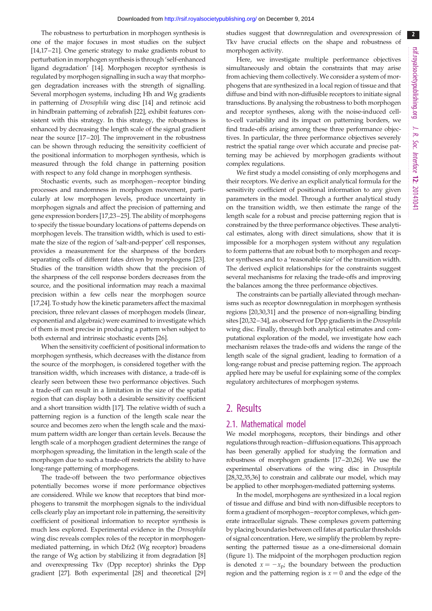The robustness to perturbation in morphogen synthesis is one of the major focuses in most studies on the subject [\[14,17](#page-11-0)–[21\]](#page-11-0). One generic strategy to make gradients robust to perturbation in morphogen synthesis is through 'self-enhanced ligand degradation' [[14\]](#page-11-0). Morphogen receptor synthesis is regulated by morphogen signalling in such a way that morphogen degradation increases with the strength of signalling. Several morphogen systems, including Hh and Wg gradients in patterning of Drosophila wing disc [[14](#page-11-0)] and retinoic acid in hindbrain patterning of zebrafish [[22\]](#page-11-0), exhibit features consistent with this strategy. In this strategy, the robustness is enhanced by decreasing the length scale of the signal gradient near the source [[17](#page-11-0)–[20\]](#page-11-0). The improvement in the robustness can be shown through reducing the sensitivity coefficient of the positional information to morphogen synthesis, which is measured through the fold change in patterning position with respect to any fold change in morphogen synthesis.

Stochastic events, such as morphogen– receptor binding processes and randomness in morphogen movement, particularly at low morphogen levels, produce uncertainty in morphogen signals and affect the precision of patterning and gene expression borders [\[17,23](#page-11-0)–[25](#page-11-0)]. The ability of morphogens to specify the tissue boundary locations of patterns depends on morphogen levels. The transition width, which is used to estimate the size of the region of 'salt-and-pepper' cell responses, provides a measurement for the sharpness of the borders separating cells of different fates driven by morphogens [\[23](#page-11-0)]. Studies of the transition width show that the precision of the sharpness of the cell response borders decreases from the source, and the positional information may reach a maximal precision within a few cells near the morphogen source [\[17,24](#page-11-0)]. To study how the kinetic parameters affect the maximal precision, three relevant classes of morphogen models (linear, exponential and algebraic) were examined to investigate which of them is most precise in producing a pattern when subject to both external and intrinsic stochastic events [[26\]](#page-11-0).

When the sensitivity coefficient of positional information to morphogen synthesis, which decreases with the distance from the source of the morphogen, is considered together with the transition width, which increases with distance, a trade-off is clearly seen between these two performance objectives. Such a trade-off can result in a limitation in the size of the spatial region that can display both a desirable sensitivity coefficient and a short transition width [[17\]](#page-11-0). The relative width of such a patterning region is a function of the length scale near the source and becomes zero when the length scale and the maximum pattern width are longer than certain levels. Because the length scale of a morphogen gradient determines the range of morphogen spreading, the limitation in the length scale of the morphogen due to such a trade-off restricts the ability to have long-range patterning of morphogens.

The trade-off between the two performance objectives potentially becomes worse if more performance objectives are considered. While we know that receptors that bind morphogens to transmit the morphogen signals to the individual cells clearly play an important role in patterning, the sensitivity coefficient of positional information to receptor synthesis is much less explored. Experimental evidence in the Drosophila wing disc reveals complex roles of the receptor in morphogenmediated patterning, in which Dfz2 (Wg receptor) broadens the range of Wg action by stabilizing it from degradation [\[8\]](#page-11-0) and overexpressing Tkv (Dpp receptor) shrinks the Dpp gradient [[27\]](#page-11-0). Both experimental [[28](#page-11-0)] and theoretical [[29\]](#page-11-0)

studies suggest that downregulation and overexpression of Tkv have crucial effects on the shape and robustness of morphogen activity.

Here, we investigate multiple performance objectives simultaneously and obtain the constraints that may arise from achieving them collectively. We consider a system of morphogens that are synthesized in a local region of tissue and that diffuse and bind with non-diffusible receptors to initiate signal transductions. By analysing the robustness to both morphogen and receptor syntheses, along with the noise-induced cellto-cell variability and its impact on patterning borders, we find trade-offs arising among these three performance objectives. In particular, the three performance objectives severely restrict the spatial range over which accurate and precise patterning may be achieved by morphogen gradients without complex regulations.

We first study a model consisting of only morphogens and their receptors. We derive an explicit analytical formula for the sensitivity coefficient of positional information to any given parameters in the model. Through a further analytical study on the transition width, we then estimate the range of the length scale for a robust and precise patterning region that is constrained by the three performance objectives. These analytical estimates, along with direct simulations, show that it is impossible for a morphogen system without any regulation to form patterns that are robust both to morphogen and receptor syntheses and to a 'reasonable size' of the transition width. The derived explicit relationships for the constraints suggest several mechanisms for relaxing the trade-offs and improving the balances among the three performance objectives.

The constraints can be partially alleviated through mechanisms such as receptor downregulation in morphogen synthesis regions [\[20,30,31\]](#page-11-0) and the presence of non-signalling binding sites [\[20,32](#page-11-0)–[34\]](#page-11-0), as observed for Dpp gradients in the Drosophila wing disc. Finally, through both analytical estimates and computational exploration of the model, we investigate how each mechanism relaxes the trade-offs and widens the range of the length scale of the signal gradient, leading to formation of a long-range robust and precise patterning region. The approach applied here may be useful for explaining some of the complex regulatory architectures of morphogen systems.

## 2. Results

### 2.1. Mathematical model

We model morphogens, receptors, their bindings and other regulations through reaction–diffusion equations. This approach has been generally applied for studying the formation and robustness of morphogen gradients [[17](#page-11-0)–[20,26\]](#page-11-0). We use the experimental observations of the wing disc in Drosophila [[28,32](#page-11-0)[,35,36\]](#page-12-0) to constrain and calibrate our model, which may be applied to other morphogen-mediated patterning systems.

In the model, morphogens are synthesized in a local region of tissue and diffuse and bind with non-diffusible receptors to form a gradient of morphogen–receptor complexes, which generate intracellular signals. These complexes govern patterning by placing boundaries between cell fates at particular thresholds of signal concentration. Here, we simplify the problem by representing the patterned tissue as a one-dimensional domain ([figure 1](#page-2-0)). The midpoint of the morphogen production region is denoted  $x = -x_p$ ; the boundary between the production region and the patterning region is  $x = 0$  and the edge of the 2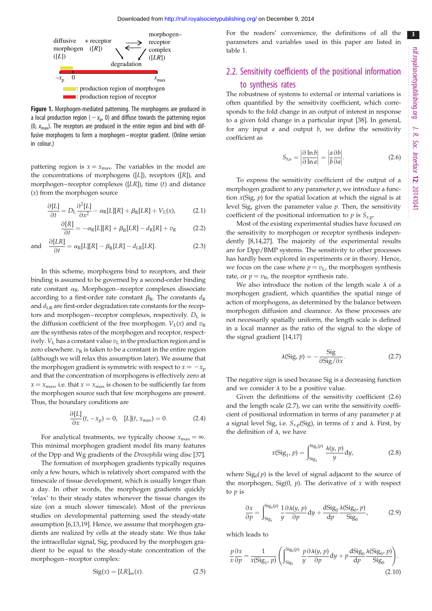3

<span id="page-2-0"></span>

Figure 1. Morphogen-mediated patterning. The morphogens are produced in a local production region ( $-x_p$ , 0) and diffuse towards the patterning region (0,  $x_{\text{max}}$ ). The receptors are produced in the entire region and bind with diffusive morphogens to form a morphogen –receptor gradient. (Online version in colour.)

pattering region is  $x = x_{\text{max}}$ . The variables in the model are the concentrations of morphogens  $([L])$ , receptors  $([R])$ , and morphogen–receptor complexes ([LR]), time (t) and distance (x) from the morphogen source

$$
\frac{\partial[L]}{\partial t} = D_{\rm L} \frac{\partial^2[L]}{\partial x^2} - \alpha_{\rm R}[L][R] + \beta_{\rm R}[LR] + V_{\rm L}(x),\tag{2.1}
$$

$$
\frac{\partial [R]}{\partial t} = -\alpha_{\rm R}[L][R] + \beta_{\rm R}[LR] - d_{\rm R}[R] + v_{\rm R} \tag{2.2}
$$

and 
$$
\frac{\partial [LR]}{\partial t} = \alpha_{\text{R}}[L][R] - \beta_{\text{R}}[LR] - d_{\text{LR}}[LR].
$$
 (2.3)

In this scheme, morphogens bind to receptors, and their binding is assumed to be governed by a second-order binding rate constant  $\alpha_R$ . Morphogen–receptor complexes dissociate according to a first-order rate constant  $\beta_{\rm R}$ . The constants  $d_{\rm R}$ and  $d_{LR}$  are first-order degradation rate constants for the receptors and morphogen–receptor complexes, respectively.  $D_L$  is the diffusion coefficient of the free morphogen.  $V_L(x)$  and  $v_R$ are the synthesis rates of the morphogen and receptor, respectively.  $V_L$  has a constant value  $v_L$  in the production region and is zero elsewhere.  $v_R$  is taken to be a constant in the entire region (although we will relax this assumption later). We assume that the morphogen gradient is symmetric with respect to  $x = -x_p$ and that the concentration of morphogens is effectively zero at  $x = x_{\text{max}}$ , i.e. that  $x = x_{\text{max}}$  is chosen to be sufficiently far from the morphogen source such that few morphogens are present. Thus, the boundary conditions are

$$
\frac{\partial[L]}{\partial x}(t, -x_{\rm p}) = 0, \quad [L](t, x_{\rm max}) = 0. \tag{2.4}
$$

For analytical treatments, we typically choose  $x_{\text{max}} = \infty$ . This minimal morphogen gradient model fits many features of the Dpp and Wg gradients of the Drosophila wing disc [\[37](#page-12-0)].

The formation of morphogen gradients typically requires only a few hours, which is relatively short compared with the timescale of tissue development, which is usually longer than a day. In other words, the morphogen gradients quickly 'relax' to their steady states whenever the tissue changes its size (on a much slower timescale). Most of the previous studies on developmental patterning used the steady-state assumption [[6,13](#page-11-0),[19\]](#page-11-0). Hence, we assume that morphogen gradients are realized by cells at the steady state. We thus take the intracellular signal, Sig, produced by the morphogen gradient to be equal to the steady-state concentration of the morphogen– receptor complex:

$$
Sig(x) = [LR]_{ss}(x). \tag{2.5}
$$

For the readers' convenience, the definitions of all the parameters and variables used in this paper are listed in [table 1](#page-3-0).

# 2.2. Sensitivity coefficients of the positional information to synthesis rates

The robustness of systems to external or internal variations is often quantified by the sensitivity coefficient, which corresponds to the fold change in an output of interest in response to a given fold change in a particular input [\[38](#page-12-0)]. In general, for any input  $a$  and output  $b$ , we define the sensitivity coefficient as

$$
S_{b,a} = \left| \frac{\partial \ln b}{\partial \ln a} \right| = \left| \frac{a}{b} \frac{\partial b}{\partial a} \right|.
$$
 (2.6)

To express the sensitivity coefficient of the output of a morphogen gradient to any parameter  $p$ , we introduce a function  $x(Sig, p)$  for the spatial location at which the signal is at level Sig, given the parameter value  $p$ . Then, the sensitivity coefficient of the positional information to  $p$  is  $S_{x,p}$ .

Most of the existing experimental studies have focused on the sensitivity to morphogen or receptor synthesis independently [\[8,14,27](#page-11-0)]. The majority of the experimental results are for Dpp/BMP systems. The sensitivity to other processes has hardly been explored in experiments or in theory. Hence, we focus on the case where  $p = v_L$ , the morphogen synthesis rate, or  $p = v_R$ , the receptor synthesis rate.

We also introduce the notion of the length scale  $\lambda$  of a morphogen gradient, which quantifies the spatial range of action of morphogens, as determined by the balance between morphogen diffusion and clearance. As these processes are not necessarily spatially uniform, the length scale is defined in a local manner as the ratio of the signal to the slope of the signal gradient [[14,17](#page-11-0)]

$$
\lambda(\text{Sig}, p) = -\frac{\text{Sig}}{\partial \text{Sig}/\partial x}.
$$
 (2.7)

The negative sign is used because Sig is a decreasing function and we consider  $\lambda$  to be a positive value.

Given the definitions of the sensitivity coefficient (2.6) and the length scale (2.7), we can write the sensitivity coefficient of positional information in terms of any parameter  $p$  at a signal level Sig, i.e.  $S_{x,p}$ (Sig), in terms of x and  $\lambda$ . First, by the definition of  $\lambda$ , we have

$$
x(\text{Sig}_1, p) = \int_{\text{Sig}_1}^{\text{Sig}_0(p)} \frac{\lambda(y, p)}{y} \, \text{d}y,\tag{2.8}
$$

where  $Sig_0(p)$  is the level of signal adjacent to the source of the morphogen, Sig(0,  $p$ ). The derivative of  $x$  with respect to p is

$$
\frac{\partial x}{\partial p} = \int_{\text{Sig}_1}^{\text{Sig}_0(p)} \frac{1}{y} \frac{\partial \lambda(y, p)}{\partial p} \, \text{d}y + \frac{\text{dSig}_0}{\text{d}p} \frac{\lambda(\text{Sig}_0, p)}{\text{Sig}_0},\tag{2.9}
$$

which leads to

$$
\frac{p \partial x}{x \partial p} = \frac{1}{x(\text{Sig}_{1}, p)} \left( \int_{\text{Sig}_{1}}^{\text{Sig}_{0}(p)} \frac{p \partial \lambda(y, p)}{y} dy + p \frac{\text{disg}_{0}}{\text{d}p} \frac{\lambda(\text{Sig}_{0}, p)}{\text{Sig}_{0}} \right). \tag{2.10}
$$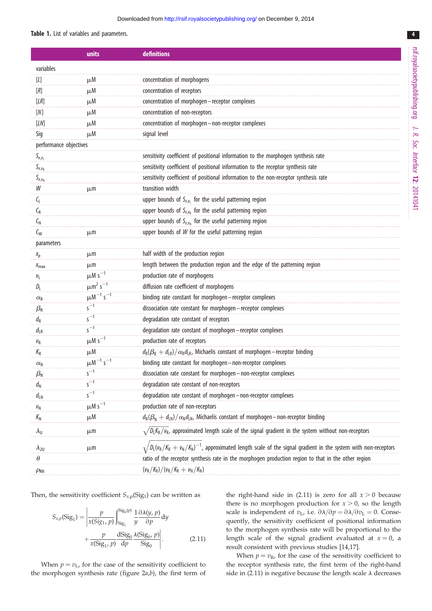#### <span id="page-3-0"></span>Table 1. List of variables and parameters.

|                           | units                                | definitions                                                                                                              |  |
|---------------------------|--------------------------------------|--------------------------------------------------------------------------------------------------------------------------|--|
| variables                 |                                      |                                                                                                                          |  |
| $[L]$                     | μM                                   | concentration of morphogens                                                                                              |  |
| [R]                       | μM                                   | concentration of receptors                                                                                               |  |
| [LR]                      | μM                                   | concentration of morphogen-receptor complexes                                                                            |  |
| [N]                       | μM                                   | concentration of non-receptors                                                                                           |  |
| [LM]                      | $\mu$ M                              | concentration of morphogen-non-receptor complexes                                                                        |  |
| Sig                       | μM                                   | signal level                                                                                                             |  |
| performance objectives    |                                      |                                                                                                                          |  |
| $S_{X,V_L}$               |                                      | sensitivity coefficient of positional information to the morphogen synthesis rate                                        |  |
| $S_{x,v_R}$               |                                      | sensitivity coefficient of positional information to the receptor synthesis rate                                         |  |
| $S_{x,v_N}$               |                                      | sensitivity coefficient of positional information to the non-receptor synthesis rate                                     |  |
| W                         | μm                                   | transition width                                                                                                         |  |
| $\mathsf{C}_{\mathsf{L}}$ |                                      | upper bounds of $S_{x,v_L}$ for the useful patterning region                                                             |  |
| $\mathcal{C}_{R}$         |                                      | upper bounds of $S_{x,v_R}$ for the useful patterning region                                                             |  |
| $C_{N}$                   |                                      | upper bounds of $S_{x,v_N}$ for the useful patterning region                                                             |  |
| $\zeta_{W}$               | աՠ                                   | upper bounds of W for the useful patterning region                                                                       |  |
| parameters                |                                      |                                                                                                                          |  |
| $X_{\rm p}$               | $\mu$ m                              | half width of the production region                                                                                      |  |
| $X_{\text{max}}$          | µm                                   | length between the production region and the edge of the patterning region                                               |  |
| $V_{\rm L}$               | $\mu$ M s <sup>-1</sup>              | production rate of morphogens                                                                                            |  |
| $D_{\rm L}$               | $\mu$ m <sup>2</sup> s <sup>-1</sup> | diffusion rate coefficient of morphogens                                                                                 |  |
| $\alpha_{\mathsf{R}}$     | $\mu$ M $^{-1}$ s $^{-1}$            | binding rate constant for morphogen-receptor complexes                                                                   |  |
| $\beta_{\rm R}$           | $\varsigma^{-1}$                     | dissociation rate constant for morphogen-receptor complexes                                                              |  |
| $d_{\mathsf{R}}$          | $\varsigma^{-1}$                     | degradation rate constant of receptors                                                                                   |  |
| $d_{\text{LR}}$           | $s^{-1}$                             | degradation rate constant of morphogen-receptor complexes                                                                |  |
| $V_{R}$                   | $\mu$ M s <sup>-1</sup>              | production rate of receptors                                                                                             |  |
| $K_{R}$                   | $\mu$ M                              | $d_{\rm R}(\beta_{\rm R}+d_{\rm LR})/\alpha_{\rm R}d_{\rm LR}$ , Michaelis constant of morphogen – receptor binding      |  |
| $\alpha_{\mathsf{N}}$     | $\mu$ M $^{-1}$ s $^{-1}$            | binding rate constant for morphogen-non-receptor complexes                                                               |  |
| $\beta_{\mathsf{N}}$      |                                      | dissociation rate constant for morphogen – non-receptor complexes                                                        |  |
| $d_{\mathsf{N}}$          | $\mathsf{s}^{-1}$                    | degradation rate constant of non-receptors                                                                               |  |
| $d_{LN}$                  | $s^{-1}$                             | degradation rate constant of morphogen-non-receptor complexes                                                            |  |
| $V_{\rm N}$               | $\mu$ M s <sup>-1</sup>              | production rate of non-receptors                                                                                         |  |
| $K_{\rm N}$               | μM                                   | $d_N(\beta_N + d_{LN})/\alpha_N d_{LN}$ , Michaelis constant of morphogen – non-receptor binding                         |  |
| $\lambda_{\sf U}$         | µm                                   | $\sqrt{D_L K_R / v_R}$ , approximated length scale of the signal gradient in the system without non-receptors            |  |
| $\lambda_{2U}$            | $\mu$ m                              | $\sqrt{D_L(v_R/K_R + v_N/K_N)^{-1}}$ , approximated length scale of the signal gradient in the system with non-receptors |  |
| $\theta$                  |                                      | ratio of the receptor synthesis rate in the morphogen production region to that in the other region                      |  |
| $\rho_{\texttt{RN}}$      |                                      | $(\nu_{R}/K_{R})/(\nu_{R}/K_{R} + \nu_{N}/K_{N})$                                                                        |  |

Then, the sensitivity coefficient  $S_{x,p}(\text{Sig}_1)$  can be written as

$$
S_{x,p}(\text{Sig}_1) = \left| \frac{p}{x(\text{Sig}_1, p)} \int_{\text{Sig}_1}^{\text{Sig}_0(p)} \frac{1}{y} \frac{\partial \lambda(y, p)}{\partial p} \, \mathrm{d}y + \frac{p}{x(\text{Sig}_1, p)} \frac{\text{d}\text{Sig}_0}{\text{d}p} \frac{\lambda(\text{Sig}_0, p)}{\text{Sig}_0} \right|.
$$
 (2.11)

When  $p = v_L$ , for the case of the sensitivity coefficient to the morphogen synthesis rate (figure  $2a$ ,b), the first term of the right-hand side in (2.11) is zero for all  $x > 0$  because there is no morphogen production for  $x > 0$ , so the length scale is independent of  $v_L$ , i.e.  $\partial \lambda / \partial p = \partial \lambda / \partial v_L = 0$ . Consequently, the sensitivity coefficient of positional information to the morphogen synthesis rate will be proportional to the length scale of the signal gradient evaluated at  $x = 0$ , a result consistent with previous studies [[14,17](#page-11-0)].

When  $p = v<sub>R</sub>$ , for the case of the sensitivity coefficient to the receptor synthesis rate, the first term of the right-hand side in (2.11) is negative because the length scale  $\lambda$  decreases 4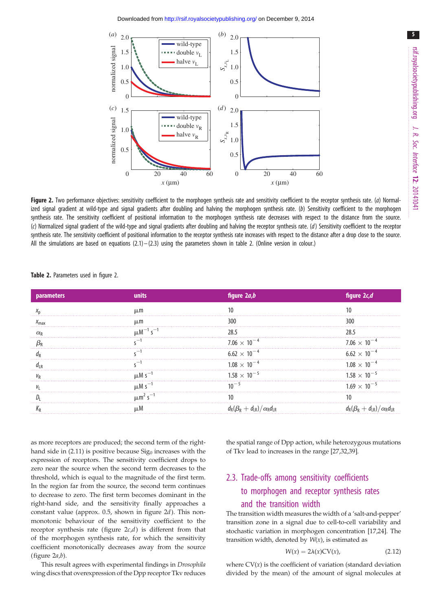<span id="page-4-0"></span>

Figure 2. Two performance objectives: sensitivity coefficient to the morphogen synthesis rate and sensitivity coefficient to the receptor synthesis rate. (a) Normalized signal gradient at wild-type and signal gradients after doubling and halving the morphogen synthesis rate. (b) Sensitivity coefficient to the morphogen synthesis rate. The sensitivity coefficient of positional information to the morphogen synthesis rate decreases with respect to the distance from the source. (c) Normalized signal gradient of the wild-type and signal gradients after doubling and halving the receptor synthesis rate. (d) Sensitivity coefficient to the receptor synthesis rate. The sensitivity coefficient of positional information to the receptor synthesis rate increases with respect to the distance after a drop close to the source. All the simulations are based on equations  $(2.1) - (2.3)$  using the parameters shown in table 2. (Online version in colour.)

| parameters | units                                | figure 2 <i>a</i> , <i>b</i> | figure 2c,c                    |
|------------|--------------------------------------|------------------------------|--------------------------------|
|            | աm                                   |                              |                                |
|            | աՠ                                   | 300                          | 300                            |
|            | $\mu$ M $^{-1}$ s $^{-1}$            | 28.5                         | 28.5                           |
|            |                                      | $7.06 \times 10^{-4}$        | 7.06 $\times$ 10 <sup>-4</sup> |
|            |                                      | $6.62 \times 10^{-4}$        | $6.62 \times 10^{-4}$          |
|            |                                      | $1.08 \times 10^{-4}$        | $1.08 \times 10^{-4}$          |
|            | $\mu$ M s <sup>-1</sup>              | $1.58 \times 10^{-5}$        | $1.58 \times 10^{-5}$          |
|            | $\mu$ M s <sup>-1</sup>              |                              | $1.69 \times 10^{-5}$          |
|            | $\mu$ m <sup>2</sup> s <sup>-1</sup> |                              |                                |
|            |                                      |                              |                                |

Table 2. Parameters used in figure 2.

as more receptors are produced; the second term of the righthand side in  $(2.11)$  is positive because  $Sig<sub>0</sub>$  increases with the expression of receptors. The sensitivity coefficient drops to zero near the source when the second term decreases to the threshold, which is equal to the magnitude of the first term. In the region far from the source, the second term continues to decrease to zero. The first term becomes dominant in the right-hand side, and the sensitivity finally approaches a constant value (approx. 0.5, shown in figure 2d). This nonmonotonic behaviour of the sensitivity coefficient to the receptor synthesis rate (figure  $2c.d$ ) is different from that of the morphogen synthesis rate, for which the sensitivity coefficient monotonically decreases away from the source (figure 2a,b).

This result agrees with experimental findings in Drosophila wing discs that overexpression of the Dpp receptor Tkv reduces the spatial range of Dpp action, while heterozygous mutations of Tkv lead to increases in the range [[27](#page-11-0),[32,](#page-11-0)[39\]](#page-12-0).

# 2.3. Trade-offs among sensitivity coefficients to morphogen and receptor synthesis rates and the transition width

The transition width measures the width of a 'salt-and-pepper' transition zone in a signal due to cell-to-cell variability and stochastic variation in morphogen concentration [[17,24\]](#page-11-0). The transition width, denoted by  $W(x)$ , is estimated as

$$
W(x) = 2\lambda(x)CV(x), \qquad (2.12)
$$

where  $CV(x)$  is the coefficient of variation (standard deviation divided by the mean) of the amount of signal molecules at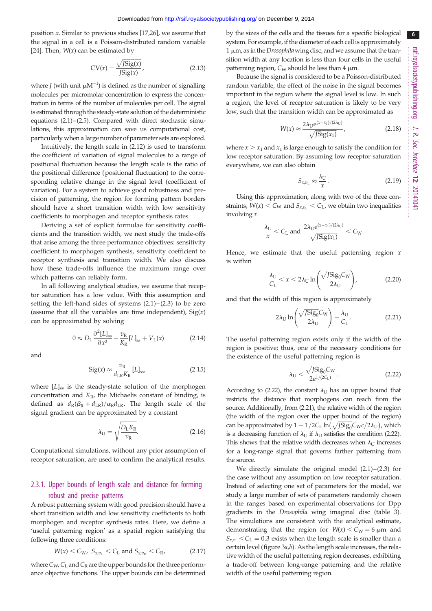position  $x$ . Similar to previous studies [\[17,26](#page-11-0)], we assume that the signal in a cell is a Poisson-distributed random variable [\[24](#page-11-0)]. Then,  $W(x)$  can be estimated by

$$
CV(x) = \frac{\sqrt{JSig(x)}}{JSig(x)},
$$
\n(2.13)

where *J* (with unit  $\mu$ M<sup>-1</sup>) is defined as the number of signalling molecules per micromolar concentration to express the concentration in terms of the number of molecules per cell. The signal is estimated through the steady-state solution of the deterministic equations (2.1)–(2.5). Compared with direct stochastic simulations, this approximation can save us computational cost, particularly when a large number of parameter sets are explored.

Intuitively, the length scale in (2.12) is used to transform the coefficient of variation of signal molecules to a range of positional fluctuation because the length scale is the ratio of the positional difference (positional fluctuation) to the corresponding relative change in the signal level (coefficient of variation). For a system to achieve good robustness and precision of patterning, the region for forming pattern borders should have a short transition width with low sensitivity coefficients to morphogen and receptor synthesis rates.

Deriving a set of explicit formulae for sensitivity coefficients and the transition width, we next study the trade-offs that arise among the three performance objectives: sensitivity coefficient to morphogen synthesis, sensitivity coefficient to receptor synthesis and transition width. We also discuss how these trade-offs influence the maximum range over which patterns can reliably form.

In all following analytical studies, we assume that receptor saturation has a low value. With this assumption and setting the left-hand sides of systems  $(2.1)$  – $(2.3)$  to be zero (assume that all the variables are time independent),  $Sig(x)$ can be approximated by solving

 $0 \approx D_{\rm L} \frac{\partial^2 [L]_{\rm ss}}{\partial x^2} - \frac{v_{\rm R}}{K_{\rm R}}$ 

and

$$
Sig(x) \approx \frac{v_{R}}{d_{LR}K_{R}}[L]_{ss},
$$
\n(2.15)

 $\frac{K_{\rm K}}{K_{\rm R}} [L]_{\rm ss} + V_{\rm L}(x)$  (2.14)

where  $[L]_{ss}$  is the steady-state solution of the morphogen concentration and  $K_R$ , the Michaelis constant of binding, is defined as  $d_{\text{R}}(\beta_{\text{R}}+d_{\text{LR}})/\alpha_{\text{R}}d_{\text{LR}}$ . The length scale of the signal gradient can be approximated by a constant

$$
\lambda_{\rm U} = \sqrt{\frac{D_{\rm L} K_{\rm R}}{v_{\rm R}}}.\tag{2.16}
$$

Computational simulations, without any prior assumption of receptor saturation, are used to confirm the analytical results.

### 2.3.1. Upper bounds of length scale and distance for forming robust and precise patterns

A robust patterning system with good precision should have a short transition width and low sensitivity coefficients to both morphogen and receptor synthesis rates. Here, we define a 'useful patterning region' as a spatial region satisfying the following three conditions:

$$
W(x) < C_W, \ S_{x,v_L} < C_L \text{ and } S_{x,v_R} < C_R,\tag{2.17}
$$

where  $C_{\text{W}}$ ,  $C_{\text{L}}$  and  $C_{\text{R}}$  are the upper bounds for the three performance objective functions. The upper bounds can be determined by the sizes of the cells and the tissues for a specific biological system. For example, if the diameter of each cell is approximately  $1 \mu m$ , as in the *Drosophila* wing disc, and we assume that the transition width at any location is less than four cells in the useful patterning region,  $C_W$  should be less than 4  $\mu$ m.

Because the signal is considered to be a Poisson-distributed random variable, the effect of the noise in the signal becomes important in the region where the signal level is low. In such a region, the level of receptor saturation is likely to be very low, such that the transition width can be approximated as

$$
W(x) \approx \frac{2\lambda_U e^{(x-x_1)/(2\lambda_U)}}{\sqrt{\text{JSig}(x_1)}},\tag{2.18}
$$

where  $x > x_1$  and  $x_1$  is large enough to satisfy the condition for low receptor saturation. By assuming low receptor saturation everywhere, we can also obtain

$$
S_{x,v_{\rm L}} \approx \frac{\lambda_{\rm U}}{x}.\tag{2.19}
$$

Using this approximation, along with two of the three constraints,  $W(x) < C_W$  and  $S_{x,v_L} < C_L$ , we obtain two inequalities involving x

$$
\frac{\lambda_U}{x} < C_L \text{ and } \frac{2\lambda_U e^{(x-x_1)/(2\lambda_U)}}{\sqrt{J\text{Sig}(x_1)}} < C_W.
$$

Hence, we estimate that the useful patterning region  $x$ is within

$$
\frac{\lambda_{\rm U}}{C_{\rm L}} < x < 2\lambda_{\rm U} \ln\left(\frac{\sqrt{J\text{Sig}_0}C_{\rm W}}{2\lambda_{\rm U}}\right),\tag{2.20}
$$

and that the width of this region is approximately

$$
2\lambda_{\rm U} \ln \left( \frac{\sqrt{J\text{Sig}_0} C_{\rm W}}{2\lambda_{\rm U}} \right) - \frac{\lambda_{\rm U}}{C_{\rm L}}.
$$
 (2.21)

The useful patterning region exists only if the width of the region is positive; thus, one of the necessary conditions for the existence of the useful patterning region is

$$
\lambda_{\rm U} < \frac{\sqrt{J}\mathrm{Sig}_0 C_{\rm W}}{2e^{1/(2C_{\rm L})}}.\tag{2.22}
$$

According to (2.22), the constant  $\lambda_U$  has an upper bound that restricts the distance that morphogens can reach from the source. Additionally, from (2.21), the relative width of the region (the width of the region over the upper bound of the region) can be approximated by  $1 - 1/2C_L \ln(\sqrt{f\text{Sig}_0C_Wc}/2\lambda_U)$ , which is a decreasing function of  $\lambda_U$  if  $\lambda_U$  satisfies the condition (2.22). This shows that the relative width decreases when  $\lambda_U$  increases for a long-range signal that governs farther patterning from the source.

We directly simulate the original model  $(2.1)$ – $(2.3)$  for the case without any assumption on low receptor saturation. Instead of selecting one set of parameters for the model, we study a large number of sets of parameters randomly chosen in the ranges based on experimental observations for Dpp gradients in the Drosophila wing imaginal disc ([table 3\)](#page-6-0). The simulations are consistent with the analytical estimate, demonstrating that the region for  $W(x) < C_W = 6 \mu m$  and  $S_{x,v_L}$  < C<sub>L</sub> = 0.3 exists when the length scale is smaller than a certain level ([figure 3](#page-7-0)a,b). As the length scale increases, the relative width of the useful patterning region decreases, exhibiting a trade-off between long-range patterning and the relative width of the useful patterning region.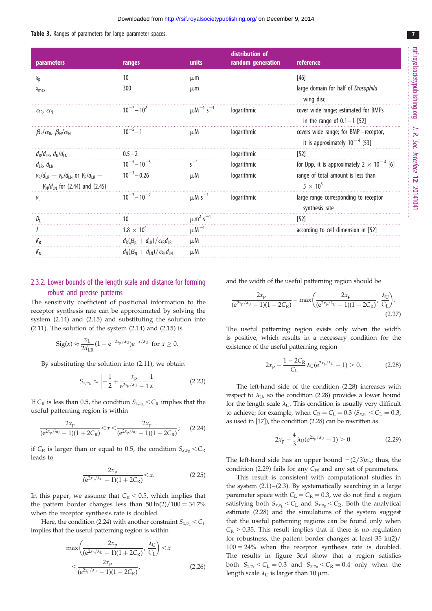<span id="page-6-0"></span>Table 3. Ranges of parameters for large parameter spaces.

| <b>parameters</b>                                                                           | ranges                                                         | units                                | distribution of<br>random generation | reference                                                                  |
|---------------------------------------------------------------------------------------------|----------------------------------------------------------------|--------------------------------------|--------------------------------------|----------------------------------------------------------------------------|
| $X_{\rm D}$                                                                                 | 10                                                             | μm                                   |                                      | $[46]$                                                                     |
| $X_{\text{max}}$                                                                            | 300                                                            | μm                                   |                                      | large domain for half of Drosophila<br>wing disc                           |
| $\alpha_{\rm R}$ , $\alpha_{\rm N}$                                                         | $10^{-2} - 10^{2}$                                             | $\mu$ M $^{-1}$ s $^{-1}$            | logarithmic                          | cover wide range; estimated for BMPs<br>in the range of $0.1 - 1$ [52]     |
| $\beta_{\rm R}/\alpha_{\rm R}$ , $\beta_{\rm N}/\alpha_{\rm N}$                             | $10^{-5} - 1$                                                  | μM                                   | logarithmic                          | covers wide range; for BMP-receptor,<br>it is approximately $10^{-4}$ [53] |
| $d_R/d_{IR}$ , $d_N/d_{IN}$                                                                 | $0.5 - 2$                                                      |                                      | logarithmic                          | $[52]$                                                                     |
| $d_{LR}$ , $d_{LN}$                                                                         | $10^{-5} - 10^{-3}$                                            |                                      | logarithmic                          | for Dpp, it is approximately $2 \times 10^{-4}$ [6]                        |
| $v_R/d_{LR} + v_N/d_{LN}$ or $V_R/d_{LR} +$<br>$V_{\rm N}/d_{\rm LN}$ for (2.44) and (2.45) | $10^{-3} - 0.26$                                               | μM                                   | logarithmic                          | range of total amount is less than<br>$5 \times 10^3$                      |
| V <sub>1</sub>                                                                              | $10^{-7} - 10^{-2}$                                            | $\mu$ M s <sup>-1</sup>              | logarithmic                          | large range corresponding to receptor<br>synthesis rate                    |
| $D_{1}$                                                                                     | 10                                                             | $\mu$ m <sup>2</sup> s <sup>-1</sup> |                                      | [52]                                                                       |
|                                                                                             | $1.8 \times 10^{4}$                                            | $\mu$ M <sup>-1</sup>                |                                      | according to cell dimension in [52]                                        |
| $K_{\rm R}$                                                                                 | $d_{\rm R}(\beta_{\rm R}+d_{\rm LR})/\alpha_{\rm R}d_{\rm LR}$ | μM                                   |                                      |                                                                            |
| K <sub>N</sub>                                                                              | $d_N(\beta_N+d_{\text{LN}})/\alpha_N d_{\text{LN}}$            | μM                                   |                                      |                                                                            |

### 2.3.2. Lower bounds of the length scale and distance for forming robust and precise patterns

The sensitivity coefficient of positional information to the receptor synthesis rate can be approximated by solving the system (2.14) and (2.15) and substituting the solution into  $(2.11)$ . The solution of the system  $(2.14)$  and  $(2.15)$  is

$$
Sig(x) \approx \frac{v_L}{2d_{LR}} (1 - e^{-2x_p/\lambda_U}) e^{-x/\lambda_U} \text{ for } x \ge 0.
$$

By substituting the solution into (2.11), we obtain

$$
S_{x,v_R} \approx \left| -\frac{1}{2} + \frac{x_P}{e^{2x_P/\lambda_U} - 1} \frac{1}{x} \right|.
$$
 (2.23)

If  $C_R$  is less than 0.5, the condition  $S_{x,v_R} < C_R$  implies that the useful patterning region is within

$$
\frac{2x_{\rm p}}{(e^{2x_{\rm p}/\lambda_{\rm U}}-1)(1+2C_{\rm R})} < x < \frac{2x_{\rm p}}{(e^{2x_{\rm p}/\lambda_{\rm U}}-1)(1-2C_{\rm R})};\qquad(2.24)
$$

if  $C_R$  is larger than or equal to 0.5, the condition  $S_{x,v_R} < C_R$ leads to

$$
\frac{2x_{\rm p}}{(e^{2x_{\rm p}/\lambda_{\rm U}}-1)(1+2C_{\rm R})}
$$

In this paper, we assume that  $C_R < 0.5$ , which implies that the pattern border changes less than  $50 \ln(2)/100 = 34.7\%$ when the receptor synthesis rate is doubled.

Here, the condition (2.24) with another constraint  $S_{x,v_L} < C_L$ implies that the useful patterning region is within

$$
\max \left( \frac{2x_{p}}{(e^{2x_{p}/\lambda_{U}} - 1)(1 + 2C_{R})}, \frac{\lambda_{U}}{C_{L}} \right) < x
$$
  
< 
$$
< \frac{2x_{p}}{(e^{2x_{p}/\lambda_{U}} - 1)(1 - 2C_{R})},
$$
 (2.26)

and the width of the useful patterning region should be

$$
\frac{2 x_{\rm p}}{(e^{2 x_{\rm p}/\lambda_{\rm U}}-1) (1-2 C_{\rm R})}-{\rm max}\bigg(\frac{2 x_{\rm p}}{(e^{2 x_{\rm p}/\lambda_{\rm U}}-1) (1+2 C_{\rm R})},\,\frac{\lambda_{\rm U}}{C_{\rm L}}\bigg). \eqno(2.27)
$$

The useful patterning region exists only when the width is positive, which results in a necessary condition for the existence of the useful patterning region

$$
2x_{\rm p} - \frac{1 - 2C_{\rm R}}{C_{\rm L}} \lambda_{\rm U} (e^{2x_{\rm p}/\lambda_{\rm U}} - 1) > 0. \tag{2.28}
$$

The left-hand side of the condition (2.28) increases with respect to  $\lambda_{\text{UL}}$  so the condition (2.28) provides a lower bound for the length scale  $\lambda_U$ . This condition is usually very difficult to achieve; for example, when  $C_{\rm R} = C_{\rm L} = 0.3$  ( $S_{\rm x,v} < C_{\rm L} = 0.3$ , as used in [\[17\]](#page-11-0)), the condition (2.28) can be rewritten as

$$
2x_p - \frac{4}{3}\lambda_U(e^{2x_p/\lambda_U} - 1) > 0.
$$
 (2.29)

The left-hand side has an upper bound  $-(2/3)x_p$ ; thus, the condition (2.29) fails for any  $C_W$  and any set of parameters.

This result is consistent with computational studies in the system  $(2.1)$ – $(2.3)$ . By systematically searching in a large parameter space with  $C_{\rm L} = C_{\rm R} = 0.3$ , we do not find a region satisfying both  $S_{x,v_L}$  < C<sub>L</sub> and  $S_{x,v_R}$  < C<sub>R</sub>. Both the analytical estimate (2.28) and the simulations of the system suggest that the useful patterning regions can be found only when  $C_R$  > 0.35. This result implies that if there is no regulation for robustness, the pattern border changes at least 35 ln(2)/  $100 = 24\%$  when the receptor synthesis rate is doubled. The results in figure  $3c,d$  show that a region satisfies both  $S_{x,v_L} < C_L = 0.3$  and  $S_{x,v_R} < C_R = 0.4$  only when the length scale  $\lambda_U$  is larger than 10  $\mu$ m.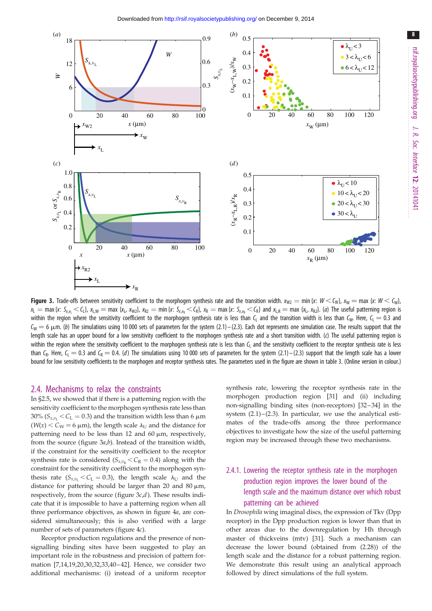<span id="page-7-0"></span>

**Figure 3.** Trade-offs between sensitivity coefficient to the morphogen synthesis rate and the transition width.  $x_{W2} = \min \{x: W < C_W\}$ ,  $x_W = \max \{x: W < C_W\}$  $x_L = \max \{x: S_{x,\nu_1} < C_L\}$ ,  $x_{L,\nu} = \max \{x_L, x_{W2}\}$ ,  $x_{R2} = \min \{x: S_{x,\nu_R} < C_R\}$ ,  $x_R = \max \{x: S_{x,\nu_R} < C_R\}$  and  $x_{L,R} = \max \{x_L, x_{R2}\}$ . (a) The useful patterning region is within the region where the sensitivity coefficient to the morphogen synthesis rate is less than  $C_l$  and the transition width is less than  $C_W$ . Here,  $C_l = 0.3$  and  $C_W = 6 \mu m$ . (b) The simulations using 10 000 sets of parameters for the system (2.1)–(2.3). Each dot represents one simulation case. The results support that the length scale has an upper bound for a low sensitivity coefficient to the morphogen synthesis rate and a short transition width. (c) The useful patterning region is within the region where the sensitivity coefficient to the morphogen synthesis rate is less than  $C<sub>1</sub>$  and the sensitivity coefficient to the receptor synthesis rate is less than C<sub>R</sub>. Here, C<sub>L</sub> = 0.3 and C<sub>R</sub> = 0.4. (d) The simulations using 10 000 sets of parameters for the system (2.1)–(2.3) support that the length scale has a lower bound for low sensitivity coefficients to the morphogen and receptor synthesis rates. The parameters used in the figure are shown in [table 3](#page-6-0). (Online version in colour.)

#### 2.4. Mechanisms to relax the constraints

In §2.5, we showed that if there is a patterning region with the sensitivity coefficient to the morphogen synthesis rate less than 30% ( $S_{x,v_L}$  < C<sub>L</sub> = 0.3) and the transition width less than 6  $\mu$ m  $(W(x) < C_W = 6 \mu m)$ , the length scale  $\lambda_U$  and the distance for patterning need to be less than  $12$  and  $60 \text{ µm}$ , respectively, from the source (figure  $3a,b$ ). Instead of the transition width, if the constraint for the sensitivity coefficient to the receptor synthesis rate is considered ( $S_{x,v_R} < C_R = 0.4$ ) along with the constraint for the sensitivity coefficient to the morphogen synthesis rate  $(S_{x,v_L} < C_L = 0.3)$ , the length scale  $\lambda_U$  and the distance for pattering should be larger than 20 and 80  $\mu$ m, respectively, from the source (figure  $3c,d$ ). These results indicate that it is impossible to have a patterning region when all three performance objectives, as shown in [figure 4](#page-8-0)a, are considered simultaneously; this is also verified with a large number of sets of parameters ([figure 4](#page-8-0)c).

Receptor production regulations and the presence of nonsignalling binding sites have been suggested to play an important role in the robustness and precision of pattern formation [[7](#page-11-0),[14,19,20,30](#page-11-0),[32,33](#page-11-0)[,40](#page-12-0)– [42](#page-12-0)]. Hence, we consider two additional mechanisms: (i) instead of a uniform receptor synthesis rate, lowering the receptor synthesis rate in the morphogen production region [\[31](#page-11-0)] and (ii) including non-signalling binding sites (non-receptors) [[32](#page-11-0)–[34](#page-11-0)] in the system  $(2.1)$ – $(2.3)$ . In particular, we use the analytical estimates of the trade-offs among the three performance objectives to investigate how the size of the useful patterning region may be increased through these two mechanisms.

## 2.4.1. Lowering the receptor synthesis rate in the morphogen production region improves the lower bound of the length scale and the maximum distance over which robust patterning can be achieved

In Drosophila wing imaginal discs, the expression of Tkv (Dpp receptor) in the Dpp production region is lower than that in other areas due to the downregulation by Hh through master of thickveins (mtv) [\[31](#page-11-0)]. Such a mechanism can decrease the lower bound (obtained from (2.28)) of the length scale and the distance for a robust patterning region. We demonstrate this result using an analytical approach followed by direct simulations of the full system.

12: 20141041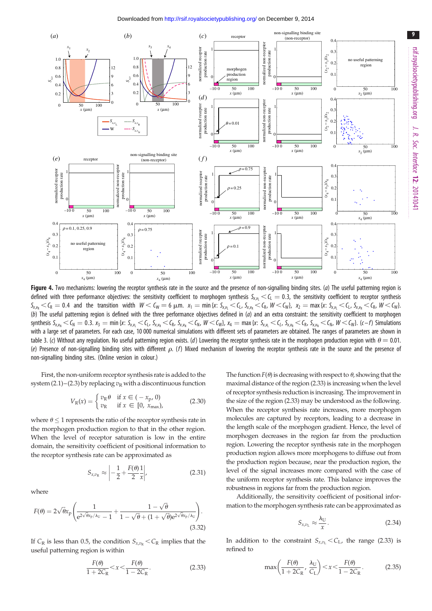Downloaded from<http://rsif.royalsocietypublishing.org/>on December 9, 2014

<span id="page-8-0"></span>

Figure 4. Two mechanisms: lowering the receptor synthesis rate in the source and the presence of non-signalling binding sites. (a) The useful patterning region is defined with three performance objectives: the sensitivity coefficient to morphogen synthesis  $S_{x,\nu_L} < C_L = 0.3$ , the sensitivity coefficient to receptor synthesis  $S_{x,v_R} < C_R = 0.4$  and the transition width  $W < C_W = 6 \mu m$ .  $x_1 = min\{x: S_{x,v_L} < C_L, S_{x,v_R} < C_R, W < C_W\}$ ,  $x_2 = max\{x: S_{x,v_L} < C_L, S_{x,v_R} < C_R, W < C_W\}$ . (b) The useful patterning region is defined with the three performance objectives defined in  $(a)$  and an extra constraint: the sensitivity coefficient to morphogen synthesis  $S_{x,v_N} < C_N = 0.3$ .  $x_3 = \min \{x: S_{x,v_L} < C_L, S_{x,v_R} < C_R, S_{x,v_N} < C_N, W < C_W\}, x_4 = \max \{x: S_{x,v_L} < C_L, S_{x,v_R} < C_R, S_{x,v_N} < C_N, W < C_W\}$ . (c–f) Simulations with a large set of parameters. For each case, 10 000 numerical simulations with different sets of parameters are obtained. The ranges of parameters are shown in [table 3](#page-6-0). (c) Without any regulation. No useful patterning region exists. (d) Lowering the receptor synthesis rate in the morphogen production region with  $\theta = 0.01$ . (e) Presence of non-signalling binding sites with different  $\rho$ . (f) Mixed mechanism of lowering the receptor synthesis rate in the source and the presence of non-signalling binding sites. (Online version in colour.)

First, the non-uniform receptor synthesis rate is added to the system  $(2.1)$ – $(2.3)$  by replacing  $v_R$  with a discontinuous function

$$
V_{R}(x) = \begin{cases} v_{R} \theta & \text{if } x \in (-x_{p}, 0) \\ v_{R} & \text{if } x \in [0, x_{\text{max}}), \end{cases}
$$
 (2.30)

where  $\theta \leq 1$  represents the ratio of the receptor synthesis rate in the morphogen production region to that in the other region. When the level of receptor saturation is low in the entire domain, the sensitivity coefficient of positional information to the receptor synthesis rate can be approximated as

$$
S_{x,v_{\mathbb{R}}} \approx \left| -\frac{1}{2} + \frac{F(\theta)}{2} \frac{1}{x} \right|, \tag{2.31}
$$

where

$$
F(\theta) = 2\sqrt{\theta}x_{\rm p}\left(\frac{1}{e^{2\sqrt{\theta}x_{\rm p}/\lambda_{\rm U}}-1} + \frac{1-\sqrt{\theta}}{1-\sqrt{\theta}+(1+\sqrt{\theta})e^{2\sqrt{\theta}x_{\rm p}/\lambda_{\rm U}}}\right).
$$
\n(3.32)

If  $C_R$  is less than 0.5, the condition  $S_{x,v_R} < C_R$  implies that the useful patterning region is within

$$
\frac{F(\theta)}{1+2C_{\rm R}} < x < \frac{F(\theta)}{1-2C_{\rm R}}.\tag{2.33}
$$

The function  $F(\theta)$  is decreasing with respect to  $\theta$ , showing that the maximal distance of the region (2.33) is increasing when the level of receptor synthesis reduction is increasing. The improvement in the size of the region (2.33) may be understood as the following. When the receptor synthesis rate increases, more morphogen molecules are captured by receptors, leading to a decrease in the length scale of the morphogen gradient. Hence, the level of morphogen decreases in the region far from the production region. Lowering the receptor synthesis rate in the morphogen production region allows more morphogens to diffuse out from the production region because, near the production region, the level of the signal increases more compared with the case of the uniform receptor synthesis rate. This balance improves the robustness in regions far from the production region.

Additionally, the sensitivity coefficient of positional information to the morphogen synthesis rate can be approximated as

$$
S_{x,v_{\rm L}} \approx \frac{\lambda_{\rm U}}{x}.\tag{2.34}
$$

In addition to the constraint  $S_{x,v} < C_L$ , the range (2.33) is refined to

$$
\max\left(\frac{F(\theta)}{1+2C_{\rm R}},\frac{\lambda_{\rm U}}{C_{\rm L}}\right)
$$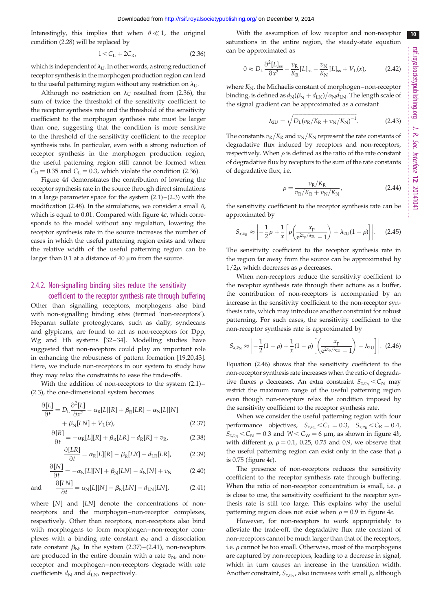Interestingly, this implies that when  $\theta \ll 1$ , the original condition (2.28) will be replaced by

$$
1 \!<\! C_{\rm L} + 2C_{\rm R}, \tag{2.36}
$$

which is independent of  $\lambda_U$ . In other words, a strong reduction of receptor synthesis in the morphogen production region can lead to the useful patterning region without any restriction on  $\lambda_{U}$ .

Although no restriction on  $\lambda_U$  resulted from (2.36), the sum of twice the threshold of the sensitivity coefficient to the receptor synthesis rate and the threshold of the sensitivity coefficient to the morphogen synthesis rate must be larger than one, suggesting that the condition is more sensitive to the threshold of the sensitivity coefficient to the receptor synthesis rate. In particular, even with a strong reduction of receptor synthesis in the morphogen production region, the useful patterning region still cannot be formed when  $C_R = 0.35$  and  $C_L = 0.3$ , which violate the condition (2.36).

[Figure 4](#page-8-0)d demonstrates the contribution of lowering the receptor synthesis rate in the source through direct simulations in a large parameter space for the system  $(2.1)$ – $(2.3)$  with the modification (2.48). In the simulations, we consider a small  $\theta$ , which is equal to 0.01. Compared with [figure 4](#page-8-0)c, which corresponds to the model without any regulation, lowering the receptor synthesis rate in the source increases the number of cases in which the useful patterning region exists and where the relative width of the useful patterning region can be larger than  $0.1$  at a distance of  $40 \mu m$  from the source.

# 2.4.2. Non-signalling binding sites reduce the sensitivity

coefficient to the receptor synthesis rate through buffering Other than signalling receptors, morphogens also bind with non-signalling binding sites (termed 'non-receptors'). Heparan sulfate proteoglycans, such as dally, syndecans and glypicans, are found to act as non-receptors for Dpp, Wg and Hh systems [[32](#page-11-0)–[34](#page-11-0)]. Modelling studies have suggested that non-receptors could play an important role in enhancing the robustness of pattern formation [[19,20](#page-11-0)[,43](#page-12-0)]. Here, we include non-receptors in our system to study how they may relax the constraints to ease the trade-offs.

With the addition of non-receptors to the system  $(2.1)$ -(2.3), the one-dimensional system becomes

$$
\frac{\partial [L]}{\partial t} = D_{\rm L} \frac{\partial^2 [L]}{\partial x^2} - \alpha_{\rm R} [L][R] + \beta_{\rm R} [LR] - \alpha_{\rm N} [L][N] + \beta_{\rm N} [LN] + V_{\rm L}(x),
$$
\n(2.37)

$$
\frac{\partial [R]}{\partial t} = -\alpha_{\rm R}[L][R] + \beta_{\rm R}[LR] - d_{\rm R}[R] + v_{\rm R},\tag{2.38}
$$

$$
\frac{\partial [LR]}{\partial t} = \alpha_{\rm R}[L][R] - \beta_{\rm R}[LR] - d_{\rm LR}[LR],\tag{2.39}
$$

$$
\frac{\partial [N]}{\partial t} = -\alpha_{\rm N}[L][N] + \beta_{\rm N}[LN] - d_{\rm N}[N] + v_{\rm N}
$$
\n(2.40)

and 
$$
\frac{\partial [LN]}{\partial t} = \alpha_{\text{N}}[L][N] - \beta_{\text{N}}[LN] - d_{\text{LN}}[LN], \qquad (2.41)
$$

where  $[N]$  and  $[LN]$  denote the concentrations of nonreceptors and the morphogen –non-receptor complexes, respectively. Other than receptors, non-receptors also bind with morphogens to form morphogen-non-receptor complexes with a binding rate constant  $a_N$  and a dissociation rate constant  $\beta_{N}$ . In the system (2.37)–(2.41), non-receptors are produced in the entire domain with a rate  $v_N$ , and nonreceptor and morphogen–non-receptors degrade with rate coefficients  $d_N$  and  $d_{LN}$ , respectively.

With the assumption of low receptor and non-receptor saturations in the entire region, the steady-state equation can be approximated as

$$
0 \approx D_{\rm L} \frac{\partial^2 [L]_{\rm ss}}{\partial x^2} - \frac{v_{\rm R}}{K_{\rm R}} [L]_{\rm ss} - \frac{v_{\rm N}}{K_{\rm N}} [L]_{\rm ss} + V_{\rm L}(x),\tag{2.42}
$$

where  $K_{N}$ , the Michaelis constant of morphogen–non-receptor binding, is defined as  $d_N(\beta_N + d_{LN})/\alpha_N d_{LN}$ . The length scale of the signal gradient can be approximated as a constant

$$
\lambda_{2U} = \sqrt{D_{L}(v_{R}/K_{R} + v_{N}/K_{N})^{-1}}.
$$
\n(2.43)

The constants  $v_R/K_R$  and  $v_N/K_N$  represent the rate constants of degradative flux induced by receptors and non-receptors, respectively. When  $\rho$  is defined as the ratio of the rate constant of degradative flux by receptors to the sum of the rate constants of degradative flux, i.e.

$$
\rho = \frac{v_R/K_R}{v_R/K_R + v_N/K_N},\tag{2.44}
$$

the sensitivity coefficient to the receptor synthesis rate can be approximated by

$$
S_{x,v_R} \approx \left| -\frac{1}{2}\rho + \frac{1}{x} \left[ \rho \left( \frac{x_P}{e^{2x_P/\lambda_{2U}} - 1} \right) + \lambda_{2U} (1 - \rho) \right] \right|.
$$
 (2.45)

The sensitivity coefficient to the receptor synthesis rate in the region far away from the source can be approximated by  $1/2\rho$ , which decreases as  $\rho$  decreases.

When non-receptors reduce the sensitivity coefficient to the receptor synthesis rate through their actions as a buffer, the contribution of non-receptors is accompanied by an increase in the sensitivity coefficient to the non-receptor synthesis rate, which may introduce another constraint for robust patterning. For such cases, the sensitivity coefficient to the non-receptor synthesis rate is approximated by

$$
S_{x,\nu_{\rm N}} \approx \left| -\frac{1}{2}(1-\rho) + \frac{1}{x}(1-\rho) \left[ \left( \frac{x_{\rm p}}{e^{2x_{\rm p}/\lambda_{2U}}-1} \right) - \lambda_{2U} \right] \right|. \tag{2.46}
$$

Equation (2.46) shows that the sensitivity coefficient to the non-receptor synthesis rate increases when the ratio of degradative fluxes  $\rho$  decreases. An extra constraint  $S_{x,v_N} < C_N$  may restrict the maximum range of the useful patterning region even though non-receptors relax the condition imposed by the sensitivity coefficient to the receptor synthesis rate.

When we consider the useful patterning region with four performance objectives,  $S_{x,v_x} < C_L = 0.3$ ,  $S_{x,v_R} < C_R = 0.4$ ,  $S_{x,v_N}$  < C<sub>N</sub> = 0.3 and W < C<sub>W</sub> = 6 µm, as shown in [figure 4](#page-8-0)*b*, with different  $\rho$ ,  $\rho = 0.1$ , 0.25, 0.75 and 0.9, we observe that the useful patterning region can exist only in the case that  $\rho$ is  $0.75$  (figure  $4e$ ).

The presence of non-receptors reduces the sensitivity coefficient to the receptor synthesis rate through buffering. When the ratio of non-receptor concentration is small, i.e.  $\rho$ is close to one, the sensitivity coefficient to the receptor synthesis rate is still too large. This explains why the useful patterning region does not exist when  $\rho = 0.9$  in [figure 4](#page-8-0)e.

However, for non-receptors to work appropriately to alleviate the trade-off, the degradative flux rate constant of non-receptors cannot be much larger than that of the receptors, i.e.  $\rho$  cannot be too small. Otherwise, most of the morphogens are captured by non-receptors, leading to a decrease in signal, which in turn causes an increase in the transition width. Another constraint,  $S_{x,v_N}$ , also increases with small  $\rho$ , although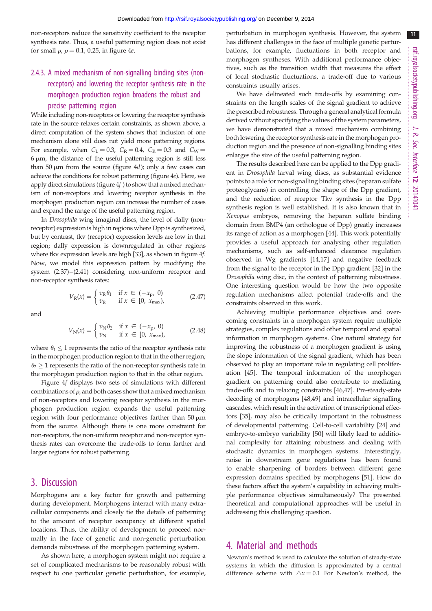11

non-receptors reduce the sensitivity coefficient to the receptor synthesis rate. Thus, a useful patterning region does not exist for small  $\rho$ ,  $\rho = 0.1$ , 0.25, in [figure 4](#page-8-0)e.

## 2.4.3. A mixed mechanism of non-signalling binding sites (nonreceptors) and lowering the receptor synthesis rate in the morphogen production region broadens the robust and precise patterning region

While including non-receptors or lowering the receptor synthesis rate in the source relaxes certain constraints, as shown above, a direct computation of the system shows that inclusion of one mechanism alone still does not yield more patterning regions. For example, when  $C_L = 0.3$ ,  $C_R = 0.4$ ,  $C_R = 0.3$  and  $C_W =$  $6 \mu m$ , the distance of the useful patterning region is still less than 50  $\mu$ m from the source [\(figure 4](#page-8-0)d); only a few cases can achieve the conditions for robust patterning [\(figure 4](#page-8-0)e). Here, we apply direct simulations (figure  $4f$ ) to show that a mixed mechanism of non-receptors and lowering receptor synthesis in the morphogen production region can increase the number of cases and expand the range of the useful patterning region.

In Drosophila wing imaginal discs, the level of dally (nonreceptor) expression is high in regions where Dpp is synthesized, but by contrast, tkv (receptor) expression levels are low in that region; dally expression is downregulated in other regions where tkv expression levels are high [[33\]](#page-11-0), as shown in [figure 4](#page-8-0)f. Now, we model this expression pattern by modifying the system  $(2.37)$ – $(2.41)$  considering non-uniform receptor and non-receptor synthesis rates:

$$
V_{R}(x) = \begin{cases} v_{R} \theta_{1} & \text{if } x \in (-x_{p}, 0) \\ v_{R} & \text{if } x \in [0, x_{\text{max}}), \end{cases}
$$
 (2.47)

and

$$
V_{\rm N}(x) = \begin{cases} v_{\rm N} \theta_2 & \text{if } x \in (-x_{\rm p}, 0) \\ v_{\rm N} & \text{if } x \in [0, x_{\rm max}), \end{cases}
$$
 (2.48)

where  $\theta_1 \leq 1$  represents the ratio of the receptor synthesis rate in the morphogen production region to that in the other region;  $\theta_2 \geq 1$  represents the ratio of the non-receptor synthesis rate in the morphogen production region to that in the other region.

[Figure 4](#page-8-0)f displays two sets of simulations with different combinations of  $\rho$ , and both cases show that a mixed mechanism of non-receptors and lowering receptor synthesis in the morphogen production region expands the useful patterning region with four performance objectives farther than  $50 \mu m$ from the source. Although there is one more constraint for non-receptors, the non-uniform receptor and non-receptor synthesis rates can overcome the trade-offs to form farther and larger regions for robust patterning.

# 3. Discussion

Morphogens are a key factor for growth and patterning during development. Morphogens interact with many extracellular components and closely tie the details of patterning to the amount of receptor occupancy at different spatial locations. Thus, the ability of development to proceed normally in the face of genetic and non-genetic perturbation demands robustness of the morphogen patterning system.

As shown here, a morphogen system might not require a set of complicated mechanisms to be reasonably robust with respect to one particular genetic perturbation, for example, perturbation in morphogen synthesis. However, the system has different challenges in the face of multiple genetic perturbations, for example, fluctuations in both receptor and morphogen syntheses. With additional performance objectives, such as the transition width that measures the effect of local stochastic fluctuations, a trade-off due to various constraints usually arises.

We have delineated such trade-offs by examining constraints on the length scales of the signal gradient to achieve the prescribed robustness. Through a general analytical formula derived without specifying the values of the system parameters, we have demonstrated that a mixed mechanism combining both lowering the receptor synthesis rate in the morphogen production region and the presence of non-signalling binding sites enlarges the size of the useful patterning region.

The results described here can be applied to the Dpp gradient in Drosophila larval wing discs, as substantial evidence points to a role for non-signalling binding sites (heparan sulfate proteoglycans) in controlling the shape of the Dpp gradient, and the reduction of receptor Tkv synthesis in the Dpp synthesis region is well established. It is also known that in Xenopus embryos, removing the heparan sulfate binding domain from BMP4 (an orthologue of Dpp) greatly increases its range of action as a morphogen [\[44](#page-12-0)]. This work potentially provides a useful approach for analysing other regulation mechanisms, such as self-enhanced clearance regulation observed in Wg gradients [[14](#page-11-0),[17\]](#page-11-0) and negative feedback from the signal to the receptor in the Dpp gradient [\[32](#page-11-0)] in the Drosophila wing disc, in the context of patterning robustness. One interesting question would be how the two opposite regulation mechanisms affect potential trade-offs and the constraints observed in this work.

Achieving multiple performance objectives and overcoming constraints in a morphogen system require multiple strategies, complex regulations and other temporal and spatial information in morphogen systems. One natural strategy for improving the robustness of a morphogen gradient is using the slope information of the signal gradient, which has been observed to play an important role in regulating cell proliferation [\[45](#page-12-0)]. The temporal information of the morphogen gradient on patterning could also contribute to mediating trade-offs and to relaxing constraints [\[46,47](#page-12-0)]. Pre-steady-state decoding of morphogens [[48,49](#page-12-0)] and intracellular signalling cascades, which result in the activation of transcriptional effectors [\[35](#page-12-0)], may also be critically important in the robustness of developmental patterning. Cell-to-cell variability [\[24](#page-11-0)] and embryo-to-embryo variability [\[50\]](#page-12-0) will likely lead to additional complexity for attaining robustness and dealing with stochastic dynamics in morphogen systems. Interestingly, noise in downstream gene regulations has been found to enable sharpening of borders between different gene expression domains specified by morphogens [[51\]](#page-12-0). How do these factors affect the system's capability in achieving multiple performance objectives simultaneously? The presented theoretical and computational approaches will be useful in addressing this challenging question.

# 4. Material and methods

Newton's method is used to calculate the solution of steady-state systems in which the diffusion is approximated by a central difference scheme with  $\Delta x = 0.1$  For Newton's method, the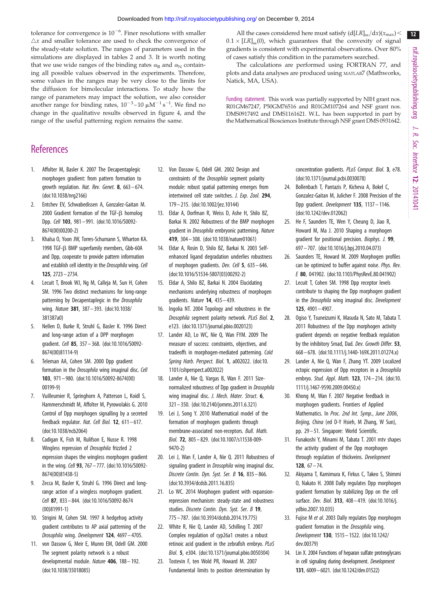$12$ 

<span id="page-11-0"></span>tolerance for convergence is  $10^{-6}$ . Finer resolutions with smaller  $\Delta x$  and smaller tolerance are used to check the convergence of the steady-state solution. The ranges of parameters used in the simulations are displayed in tables [2](#page-4-0) and [3](#page-6-0). It is worth noting that we use wide ranges of the binding rates  $\alpha_R$  and  $\alpha_N$  containing all possible values observed in the experiments. Therefore, some values in the ranges may be very close to the limits for the diffusion for bimolecular interactions. To study how the range of parameters may impact the solution, we also consider another range for binding rates,  $10^{-3}$ – $10 \mu M^{-1} s^{-1}$ . We find no change in the qualitative results observed in [figure 4](#page-8-0), and the range of the useful patterning region remains the same.

## **References**

- 1. Affolter M, Basler K. 2007 The Decapentaplegic morphogen gradient: from pattern formation to growth regulation. Nat. Rev. Genet. 8, 663-674. [\(doi:10.1038/nrg2166\)](http://dx.doi.org/10.1038/nrg2166)
- 2. Entchev EV, Schwabedissen A, Gonzalez-Gaitan M. 2000 Gradient formation of the TGF- $\beta$  homolog Dpp. Cell 103, 981 – 991. [\(doi:10.1016/S0092-](http://dx.doi.org/10.1016/S0092-8674(00)00200-2) [8674\(00\)00200-2\)](http://dx.doi.org/10.1016/S0092-8674(00)00200-2)
- 3. Khalsa O, Yoon JW, Torres-Schumann S, Wharton KA. 1998 TGF- $\beta$  BMP superfamily members, Gbb-60A and Dpp, cooperate to provide pattern information and establish cell identity in the Drosophila wing. Cell 125, 2723–2734.
- 4. Lecuit T, Brook WJ, Ng M, Calleja M, Sun H, Cohen SM. 1996 Two distinct mechanisms for long-range patterning by Decapentaplegic in the Drosophila wing. Nature 381, 387– 393. ([doi:10.1038/](http://dx.doi.org/10.1038/381387a0) [381387a0\)](http://dx.doi.org/10.1038/381387a0)
- 5. Nellen D, Burke R, Struhl G, Basler K. 1996 Direct and long-range action of a DPP morphogen gradient. Cell 85, 357 – 368. [\(doi:10.1016/S0092-](http://dx.doi.org/10.1016/S0092-8674(00)81114-9) [8674\(00\)81114-9\)](http://dx.doi.org/10.1016/S0092-8674(00)81114-9)
- 6. Teleman AA, Cohen SM. 2000 Dpp gradient formation in the Drosophila wing imaginal disc. Cell 103, 971– 980. [\(doi:10.1016/S0092-8674\(00\)](http://dx.doi.org/10.1016/S0092-8674(00)00199-9) [00199-9\)](http://dx.doi.org/10.1016/S0092-8674(00)00199-9)
- 7. Vuilleumier R, Springhorn A, Patterson L, Koidl S, Hammerschmidt M, Affolter M, Pyrowolakis G. 2010 Control of Dpp morphogen signalling by a secreted feedback regulator. Nat. Cell Biol. 12, 611– 617. [\(doi:10.1038/ncb2064](http://dx.doi.org/10.1038/ncb2064))
- 8. Cadigan K, Fish M, Rulifson E, Nusse R. 1998 Wingless repression of Drosophila frizzled 2 expression shapes the wingless morphogen gradient in the wing. Cell 93, 767– 777. [\(doi:10.1016/S0092-](http://dx.doi.org/10.1016/S0092-8674(00)81438-5) [8674\(00\)81438-5\)](http://dx.doi.org/10.1016/S0092-8674(00)81438-5)
- Zecca M, Basler K, Struhl G. 1996 Direct and longrange action of a wingless morphogen gradient. Cell 87, 833– 844. ([doi:10.1016/S0092-8674](http://dx.doi.org/10.1016/S0092-8674(00)81991-1) [\(00\)81991-1](http://dx.doi.org/10.1016/S0092-8674(00)81991-1))
- 10. Strigini M, Cohen SM. 1997 A hedgehog activity gradient contributes to AP axial patterning of the Drosophila wing. Development 124, 4697– 4705.
- 11. von Dassow G, Meir E, Munro EM, Odell GM. 2000 The segment polarity network is a robust developmental module. Nature 406, 188– 192. [\(doi:10.1038/35018085\)](http://dx.doi.org/10.1038/35018085)
- 12. Von Dassow G, Odell GM. 2002 Design and constraints of the Drosophila segment polarity module: robust spatial patterning emerges from intertwined cell state switches. J. Exp. Zool. 294. 179 – 215. [\(doi:10.1002/jez.10144](http://dx.doi.org/10.1002/jez.10144))
- 13. Eldar A, Dorfman R, Weiss D, Ashe H, Shilo BZ, Barkai N. 2002 Robustness of the BMP morphogen gradient in Drosophila embryonic patterning. Nature 419, 304 – 308. [\(doi:10.1038/nature01061](http://dx.doi.org/10.1038/nature01061))
- 14. Eldar A, Rosin D, Shilo BZ, Barkai N. 2003 Selfenhanced ligand degradation underlies robustness of morphogen gradients. Dev. Cell 5, 635– 646. [\(doi:10.1016/S1534-5807\(03\)00292-2](http://dx.doi.org/10.1016/S1534-5807(03)00292-2))
- 15. Eldar A, Shilo BZ, Barkai N. 2004 Elucidating mechanisms underlying robustness of morphogen gradients. Nature 14, 435– 439.
- 16. Ingolia NT. 2004 Topology and robustness in the Drosophila segment polarity network. PLoS Biol. 2, e123. [\(doi:10.1371/journal.pbio.0020123\)](http://dx.doi.org/10.1371/journal.pbio.0020123)
- 17. Lander AD, Lo WC, Nie Q, Wan FYM. 2009 The measure of success: constraints, objectives, and tradeoffs in morphogen-mediated patterning. Cold Spring Harb. Perspect. Biol. 1, a002022. [\(doi:10.](http://dx.doi.org/10.1101/cshperspect.a002022) [1101/cshperspect.a002022\)](http://dx.doi.org/10.1101/cshperspect.a002022)
- 18. Lander A, Nie Q, Vargas B, Wan F. 2011 Sizenormalized robustness of Dpp gradient in Drosophila wing imaginal disc. J. Mech. Mater. Struct. 6, 321 – 350. [\(doi:10.2140/jomms.2011.6.321\)](http://dx.doi.org/10.2140/jomms.2011.6.321)
- 19. Lei J, Song Y. 2010 Mathematical model of the formation of morphogen gradients through membrane-associated non-receptors. Bull. Math. Biol. 72, 805 – 829. [\(doi:10.1007/s11538-009-](http://dx.doi.org/10.1007/s11538-009-9470-2) [9470-2](http://dx.doi.org/10.1007/s11538-009-9470-2))
- 20. Lei J, Wan F, Lander A, Nie Q. 2011 Robustness of signaling gradient in *Drosophila* wing imaginal disc. Discrete Contin. Dyn. Syst. Ser. B 16, 835– 866. [\(doi:10.3934/dcdsb.2011.16.835\)](http://dx.doi.org/10.3934/dcdsb.2011.16.835)
- 21. Lo WC. 2014 Morphogen gradient with expansionrepression mechanism: steady-state and robustness studies. Discrete Contin. Dyn. Syst. Ser. B 19, 775 – 787. [\(doi:10.3934/dcdsb.2014.19.775](http://dx.doi.org/10.3934/dcdsb.2014.19.775))
- 22. White R, Nie Q, Lander AD, Schilling T. 2007 Complex regulation of cyp26a1 creates a robust retinoic acid gradient in the zebrafish embryo. PLoS Biol. 5, e304. [\(doi:10.1371/journal.pbio.0050304](http://dx.doi.org/10.1371/journal.pbio.0050304))
- 23. Tostevin F, ten Wold PR, Howard M. 2007 Fundamental limits to position determination by

All the cases considered here must satisfy  $(d[LR]_{ss}/dx)(x_{max})$  <  $0.1 \times [LR]_{\text{ss}}(0)$ , which guarantees that the convexity of signal gradients is consistent with experimental observations. Over 80% of cases satisfy this condition in the parameters searched.

The calculations are performed using FORTRAN 77, and plots and data analyses are produced using MATLAB7 (Mathworks, Natick, MA, USA).

Funding statement. This work was partially supported by NIH grant nos. R01GM67247, P50GM76516 and R01GM107264 and NSF grant nos. DMS0917492 and DMS1161621. W.L. has been supported in part by the Mathematical Biosciences Institute through NSF grant DMS 0931642.

> concentration gradients. PLoS Comput. Biol. 3, e78. ([doi:10.1371/journal.pcbi.0030078](http://dx.doi.org/10.1371/journal.pcbi.0030078))

- 24. Bollenbach T, Pantazis P, Kicheva A, Bokel C, Gonzalez-Gaitan M, Julicher F. 2008 Precision of the Dpp gradient. Development 135, 1137 - 1146. ([doi:10.1242/dev.012062](http://dx.doi.org/10.1242/dev.012062))
- 25. He F, Saunders TE, Wen Y, Cheung D, Jiao R, Howard M, Ma J. 2010 Shaping a morphogen gradient for positional precision. Biophys. J. 99, 697– 707. [\(doi:10.1016/j.bpj.2010.04.073](http://dx.doi.org/10.1016/j.bpj.2010.04.073))
- 26. Saunders TE, Howard M. 2009 Morphogen profiles can be optimized to buffer against noise. Phys. Rev. E 80, 041902. [\(doi:10.1103/PhysRevE.80.041902](http://dx.doi.org/10.1103/PhysRevE.80.041902))
- 27. Lecuit T, Cohen SM. 1998 Dpp receptor levels contribute to shaping the Dpp morphogen gradient in the Drosophila wing imaginal disc. Development 125, 4901– 4907.
- 28. Ogiso Y, Tsuneizumi K, Masuda N, Sato M, Tabata T. 2011 Robustness of the Dpp morphogen activity gradient depends on negative feedback regulation by the inhibitory Smad, Dad. Dev. Growth Differ. 53, 668– 678. [\(doi:10.1111/j.1440-169X.2011.01274.x](http://dx.doi.org/10.1111/j.1440-169X.2011.01274.x))
- 29. Lander A, Nie Q, Wan F, Zhang YT. 2009 Localized ectopic expression of Dpp receptors in a Drosophila embryo. Stud. Appl. Math. 123, 174– 214. [\(doi:10.](http://dx.doi.org/10.1111/j.1467-9590.2009.00450.x) [1111/j.1467-9590.2009.00450.x\)](http://dx.doi.org/10.1111/j.1467-9590.2009.00450.x)
- 30. Khong M, Wan F. 2007 Negative feedback in morphogen gradients. Frontiers of Applied Mathematics. In Proc. 2nd Int. Symp., June 2006, Beijing, China (ed D-Y Hsieh, M Zhang, W Sun), pp. 29 – 51. Singapore: World Scientific.
- 31. Funakoshi Y, Minami M, Tabata T. 2001 mtv shapes the activity gradient of the Dpp morphogen through regulation of thickveins. Development 128,  $67 - 74$ .
- 32. Akiyama T, Kamimura K, Firkus C, Takeo S, Shimmi O, Nakato H. 2008 Dally regulates Dpp morphogen gradient formation by stabilizing Dpp on the cell surface. Dev. Biol. 313, 408-419. [\(doi:10.1016/j.](http://dx.doi.org/10.1016/j.ydbio.2007.10.035) [ydbio.2007.10.035](http://dx.doi.org/10.1016/j.ydbio.2007.10.035))
- 33. Fujise M et al. 2003 Dally regulates Dpp morphogen gradient formation in the Drosophila wing. Development 130, 1515– 1522. ([doi:10.1242/](http://dx.doi.org/10.1242/dev.00379) [dev.00379](http://dx.doi.org/10.1242/dev.00379))
- 34. Lin X. 2004 Functions of heparan sulfate proteoglycans in cell signaling during development. Development 131, 6009–6021. [\(doi:10.1242/dev.01522\)](http://dx.doi.org/10.1242/dev.01522)